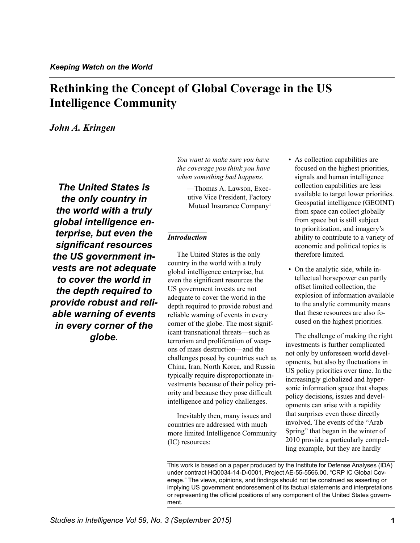# **Rethinking the Concept of Global Coverage in the US Intelligence Community**

## *John A. Kringen*

*The United States is the only country in the world with a truly global intelligence enterprise, but even the significant resources the US government invests are not adequate to cover the world in the depth required to provide robust and reliable warning of events in every corner of the globe.* 

*You want to make sure you have the coverage you think you have when something bad happens.* 

—Thomas A. Lawson, Executive Vice President, Factory Mutual Insurance Company<sup>1</sup>

### *Introduction*

The United States is the only country in the world with a truly global intelligence enterprise, but even the significant resources the US government invests are not adequate to cover the world in the depth required to provide robust and reliable warning of events in every corner of the globe. The most significant transnational threats—such as terrorism and proliferation of weapons of mass destruction—and the challenges posed by countries such as China, Iran, North Korea, and Russia typically require disproportionate investments because of their policy priority and because they pose difficult intelligence and policy challenges.

Inevitably then, many issues and countries are addressed with much more limited Intelligence Community (IC) resources:

- As collection capabilities are focused on the highest priorities, signals and human intelligence collection capabilities are less available to target lower priorities. Geospatial intelligence (GEOINT) from space can collect globally from space but is still subject to prioritization, and imagery's ability to contribute to a variety of economic and political topics is therefore limited.
- On the analytic side, while intellectual horsepower can partly offset limited collection, the explosion of information available to the analytic community means that these resources are also focused on the highest priorities.

The challenge of making the right investments is further complicated not only by unforeseen world developments, but also by fluctuations in US policy priorities over time. In the increasingly globalized and hypersonic information space that shapes policy decisions, issues and developments can arise with a rapidity that surprises even those directly involved. The events of the "Arab Spring" that began in the winter of 2010 provide a particularly compelling example, but they are hardly

This work is based on a paper produced by the Institute for Defense Analyses (IDA) under contract HQ0034-14-D-0001, Project AE-55-5566.00, "CRP IC Global Coverage." The views, opinions, and findings should not be construed as asserting or implying US government endoresement of its factual statements and interpretations or representing the official positions of any component of the United States government.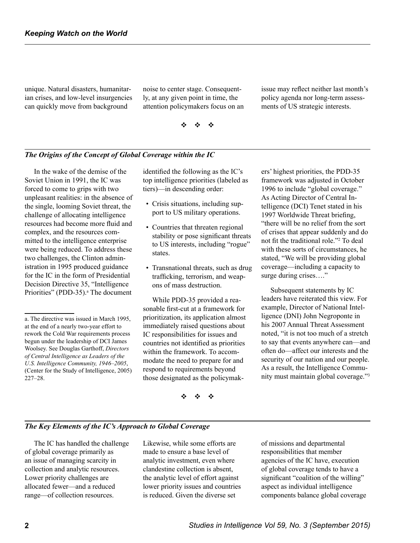unique. Natural disasters, humanitarian crises, and low-level insurgencies can quickly move from background

noise to center stage. Consequently, at any given point in time, the attention policymakers focus on an issue may reflect neither last month's policy agenda nor long-term assessments of US strategic interests.

v v v

### *The Origins of the Concept of Global Coverage within the IC*

In the wake of the demise of the Soviet Union in 1991, the IC was forced to come to grips with two unpleasant realities: in the absence of the single, looming Soviet threat, the challenge of allocating intelligence resources had become more fluid and complex, and the resources committed to the intelligence enterprise were being reduced. To address these two challenges, the Clinton administration in 1995 produced guidance for the IC in the form of Presidential Decision Directive 35, "Intelligence Priorities" (PDD-35).<sup>a</sup> The document

identified the following as the IC's top intelligence priorities (labeled as tiers)—in descending order:

- Crisis situations, including support to US military operations.
- Countries that threaten regional stability or pose significant threats to US interests, including "rogue" states.
- Transnational threats, such as drug trafficking, terrorism, and weapons of mass destruction.

While PDD-35 provided a reasonable first-cut at a framework for prioritization, its application almost immediately raised questions about IC responsibilities for issues and countries not identified as priorities within the framework. To accommodate the need to prepare for and respond to requirements beyond those designated as the policymak-

ers' highest priorities, the PDD-35 framework was adjusted in October 1996 to include "global coverage." As Acting Director of Central Intelligence (DCI) Tenet stated in his 1997 Worldwide Threat briefing, "there will be no relief from the sort of crises that appear suddenly and do not fit the traditional role."<sup>[2](#page-9-1)</sup> To deal with these sorts of circumstances, he stated, "We will be providing global coverage—including a capacity to surge during crises…."

Subsequent statements by IC leaders have reiterated this view. For example, Director of National Intelligence (DNI) John Negroponte in his 2007 Annual Threat Assessment noted, "it is not too much of a stretch to say that events anywhere can—and often do—affect our interests and the security of our nation and our people. As a result, the Intelligence Community must maintain global coverage.["3](#page-9-2)

v v v

### *The Key Elements of the IC's Approach to Global Coverage*

The IC has handled the challenge of global coverage primarily as an issue of managing scarcity in collection and analytic resources. Lower priority challenges are allocated fewer—and a reduced range—of collection resources.

Likewise, while some efforts are made to ensure a base level of analytic investment, even where clandestine collection is absent, the analytic level of effort against lower priority issues and countries is reduced. Given the diverse set

of missions and departmental responsibilities that member agencies of the IC have, execution of global coverage tends to have a significant "coalition of the willing" aspect as individual intelligence components balance global coverage

a. The directive was issued in March 1995, at the end of a nearly two-year effort to rework the Cold War requirements process begun under the leadership of DCI James Woolsey. See Douglas Garthoff, *Directors of Central Intelligence as Leaders of the U.S. Intelligence Community, 1946–2005*, (Center for the Study of Intelligence, 2005) 227–28.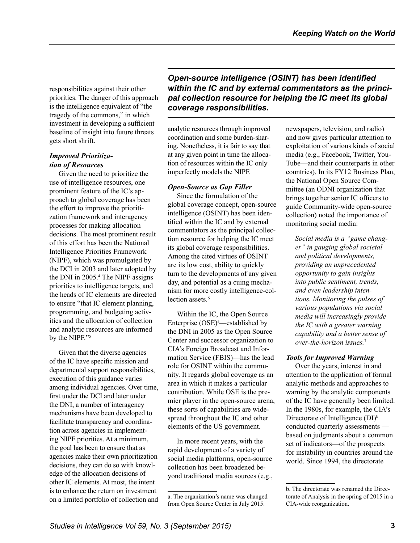responsibilities against their other priorities. The danger of this approach is the intelligence equivalent of "the tragedy of the commons," in which investment in developing a sufficient baseline of insight into future threats gets short shrift.

### *Improved Prioritization of Resources*

Given the need to prioritize the use of intelligence resources, one prominent feature of the IC's approach to global coverage has been the effort to improve the prioritization framework and interagency processes for making allocation decisions. The most prominent result of this effort has been the National Intelligence Priorities Framework (NIPF), which was promulgated by the DCI in 2003 and later adopted by the DNI in  $2005.<sup>4</sup>$  $2005.<sup>4</sup>$  $2005.<sup>4</sup>$  The NIPF assigns priorities to intelligence targets, and the heads of IC elements are directed to ensure "that IC element planning, programming, and budgeting activities and the allocation of collection and analytic resources are informed by the NIPF."<sup>5</sup>

Given that the diverse agencies of the IC have specific mission and departmental support responsibilities, execution of this guidance varies among individual agencies. Over time, first under the DCI and later under the DNI, a number of interagency mechanisms have been developed to facilitate transparency and coordination across agencies in implementing NIPF priorities. At a minimum, the goal has been to ensure that as agencies make their own prioritization decisions, they can do so with knowledge of the allocation decisions of other IC elements. At most, the intent is to enhance the return on investment on a limited portfolio of collection and *Open-source intelligence (OSINT) has been identified within the IC and by external commentators as the principal collection resource for helping the IC meet its global coverage responsibilities.* 

analytic resources through improved coordination and some burden-sharing. Nonetheless, it is fair to say that at any given point in time the allocation of resources within the IC only imperfectly models the NIPF.

### *Open-Source as Gap Filler*

Since the formulation of the global coverage concept, open-source intelligence (OSINT) has been identified within the IC and by external commentators as the principal collection resource for helping the IC meet its global coverage responsibilities. Among the cited virtues of OSINT are its low cost, ability to quickly turn to the developments of any given day, and potential as a cuing mechanism for more costly intelligence-collection assets.<sup>6</sup>

Within the IC, the Open Source Enterprise  $(OSE)^a$ —established by the DNI in 2005 as the Open Source Center and successor organization to CIA's Foreign Broadcast and Information Service (FBIS)—has the lead role for OSINT within the community. It regards global coverage as an area in which it makes a particular contribution. While OSE is the premier player in the open-source arena, these sorts of capabilities are widespread throughout the IC and other elements of the US government.

In more recent years, with the rapid development of a variety of social media platforms, open-source collection has been broadened beyond traditional media sources (e.g., newspapers, television, and radio) and now gives particular attention to exploitation of various kinds of social media (e.g., Facebook, Twitter, You-Tube—and their counterparts in other countries). In its FY12 Business Plan, the National Open Source Committee (an ODNI organization that brings together senior IC officers to guide Community-wide open-source collection) noted the importance of monitoring social media:

*Social media is a "game changer" in gauging global societal and political developments, providing an unprecedented opportunity to gain insights into public sentiment, trends, and even leadership intentions. Monitoring the pulses of various populations via social media will increasingly provide the IC with a greater warning capability and a better sense of over-the-horizon issues.*[7](#page-9-6)

### *Tools for Improved Warning*

Over the years, interest in and attention to the application of formal analytic methods and approaches to warning by the analytic components of the IC have generally been limited. In the 1980s, for example, the CIA's Directorate of Intelligence (DI)<sup>b</sup> conducted quarterly assessments based on judgments about a common set of indicators—of the prospects for instability in countries around the world. Since 1994, the directorate

a. The organization's name was changed from Open Source Center in July 2015.

b. The directorate was renamed the Directorate of Analysis in the spring of 2015 in a CIA-wide reorganization.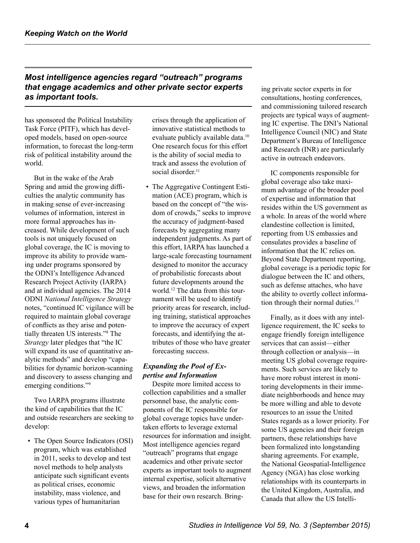# *Most intelligence agencies regard "outreach" programs that engage academics and other private sector experts as important tools.*

has sponsored the Political Instability Task Force (PITF), which has developed models, based on open-source information, to forecast the long-term risk of political instability around the world.

But in the wake of the Arab Spring and amid the growing difficulties the analytic community has in making sense of ever-increasing volumes of information, interest in more formal approaches has increased. While development of such tools is not uniquely focused on global coverage, the IC is moving to improve its ability to provide warning under programs sponsored by the ODNI's Intelligence Advanced Research Project Activity (IARPA) and at individual agencies. The 2014 ODNI *National Intelligence Strategy*  notes, "continued IC vigilance will be required to maintain global coverage of conflicts as they arise and potentially threaten US interests."<sup>8</sup> The *Strategy* later pledges that "the IC will expand its use of quantitative analytic methods" and develop "capabilities for dynamic horizon-scanning and discovery to assess changing and emerging conditions.["9](#page-9-8)

Two IARPA programs illustrate the kind of capabilities that the IC and outside researchers are seeking to develop:

• The Open Source Indicators (OSI) program, which was established in 2011, seeks to develop and test novel methods to help analysts anticipate such significant events as political crises, economic instability, mass violence, and various types of humanitarian

crises through the application of innovative statistical methods to evaluate publicly available data. [10](#page-9-9) One research focus for this effort is the ability of social media to track and assess the evolution of social disorder.<sup>[11](#page-9-10)</sup>

• The Aggregative Contingent Estimation (ACE) program, which is based on the concept of "the wisdom of crowds," seeks to improve the accuracy of judgment-based forecasts by aggregating many independent judgments. As part of this effort, IARPA has launched a large-scale forecasting tournament designed to monitor the accuracy of probabilistic forecasts about future developments around the world.<sup>[12](#page-9-11)</sup> The data from this tournament will be used to identify priority areas for research, including training, statistical approaches to improve the accuracy of expert forecasts, and identifying the attributes of those who have greater forecasting success.

### *Expanding the Pool of Expertise and Information*

Despite more limited access to collection capabilities and a smaller personnel base, the analytic components of the IC responsible for global coverage topics have undertaken efforts to leverage external resources for information and insight. Most intelligence agencies regard "outreach" programs that engage academics and other private sector experts as important tools to augment internal expertise, solicit alternative views, and broaden the information base for their own research. Bringing private sector experts in for consultations, hosting conferences, and commissioning tailored research projects are typical ways of augmenting IC expertise. The DNI's National Intelligence Council (NIC) and State Department's Bureau of Intelligence and Research (INR) are particularly active in outreach endeavors.

IC components responsible for global coverage also take maximum advantage of the broader pool of expertise and information that resides within the US government as a whole. In areas of the world where clandestine collection is limited, reporting from US embassies and consulates provides a baseline of information that the IC relies on. Beyond State Department reporting, global coverage is a periodic topic for dialogue between the IC and others, such as defense attaches, who have the ability to overtly collect information through their normal duties.<sup>13</sup>

Finally, as it does with any intelligence requirement, the IC seeks to engage friendly foreign intelligence services that can assist—either through collection or analysis—in meeting US global coverage requirements. Such services are likely to have more robust interest in monitoring developments in their immediate neighborhoods and hence may be more willing and able to devote resources to an issue the United States regards as a lower priority. For some US agencies and their foreign partners, these relationships have been formalized into longstanding sharing agreements. For example, the National Geospatial-Intelligence Agency (NGA) has close working relationships with its counterparts in the United Kingdom, Australia, and Canada that allow the US Intelli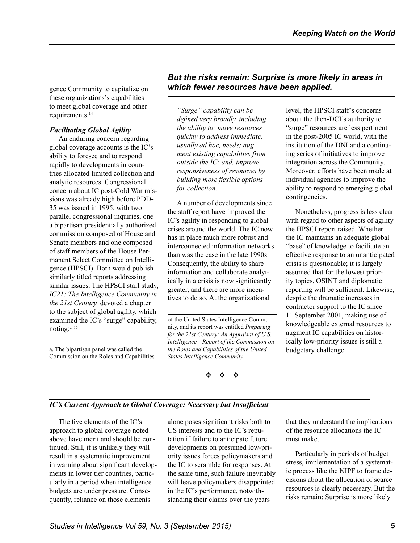gence Community to capitalize on these organizations's capabilities to meet global coverage and other requirements[.14](#page-9-13)

# *Facilitating Global Agility*

An enduring concern regarding global coverage accounts is the IC's ability to foresee and to respond rapidly to developments in countries allocated limited collection and analytic resources. Congressional concern about IC post-Cold War missions was already high before PDD-35 was issued in 1995, with two parallel congressional inquiries, one a bipartisan presidentially authorized commission composed of House and Senate members and one composed of staff members of the House Permanent Select Committee on Intelligence (HPSCI). Both would publish similarly titled reports addressing similar issues. The HPSCI staff study, *IC21: The Intelligence Community in the 21st Century,* devoted a chapter to the subject of global agility, which examined the IC's "surge" capability, noting:a, [15](#page-9-14) 

# *But the risks remain: Surprise is more likely in areas in which fewer resources have been applied.*

*"Surge" capability can be defined very broadly, including the ability to: move resources quickly to address immediate, usually ad hoc, needs; augment existing capabilities from outside the IC; and, improve responsiveness of resources by building more flexible options for collection.* 

A number of developments since the staff report have improved the IC's agility in responding to global crises around the world. The IC now has in place much more robust and interconnected information networks than was the case in the late 1990s. Consequently, the ability to share information and collaborate analytically in a crisis is now significantly greater, and there are more incentives to do so. At the organizational

of the United States Intelligence Community, and its report was entitled *Preparing for the 21st Century: An Appraisal of U.S. Intelligence—Report of the Commission on the Roles and Capabilities of the United States Intelligence Community.* 

v v v

level, the HPSCI staff's concerns about the then-DCI's authority to "surge" resources are less pertinent in the post-2005 IC world, with the institution of the DNI and a continuing series of initiatives to improve integration across the Community. Moreover, efforts have been made at individual agencies to improve the ability to respond to emerging global contingencies.

Nonetheless, progress is less clear with regard to other aspects of agility the HPSCI report raised. Whether the IC maintains an adequate global "base" of knowledge to facilitate an effective response to an unanticipated crisis is questionable; it is largely assumed that for the lowest priority topics, OSINT and diplomatic reporting will be sufficient. Likewise, despite the dramatic increases in contractor support to the IC since 11 September 2001, making use of knowledgeable external resources to augment IC capabilities on historically low-priority issues is still a budgetary challenge.

### *IC's Current Approach to Global Coverage: Necessary but Insufficient*

The five elements of the IC's approach to global coverage noted above have merit and should be continued. Still, it is unlikely they will result in a systematic improvement in warning about significant developments in lower tier countries, particularly in a period when intelligence budgets are under pressure. Consequently, reliance on those elements

alone poses significant risks both to US interests and to the IC's reputation if failure to anticipate future developments on presumed low-priority issues forces policymakers and the IC to scramble for responses. At the same time, such failure inevitably will leave policymakers disappointed in the IC's performance, notwithstanding their claims over the years

that they understand the implications of the resource allocations the IC must make.

Particularly in periods of budget stress, implementation of a systematic process like the NIPF to frame decisions about the allocation of scarce resources is clearly necessary. But the risks remain: Surprise is more likely

a. The bipartisan panel was called the Commission on the Roles and Capabilities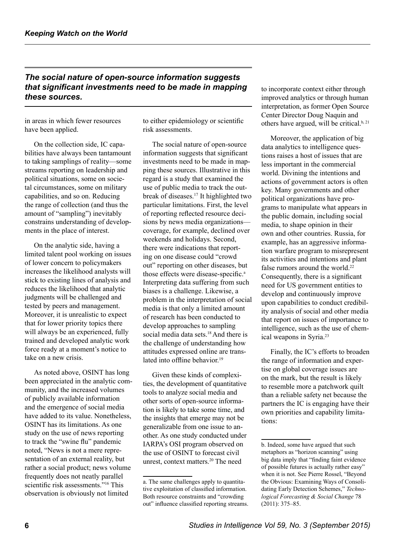# *The social nature of open-source information suggests that significant investments need to be made in mapping these sources.*

in areas in which fewer resources have been applied.

On the collection side, IC capabilities have always been tantamount to taking samplings of reality—some streams reporting on leadership and political situations, some on societal circumstances, some on military capabilities, and so on. Reducing the range of collection (and thus the amount of "sampling") inevitably constrains understanding of developments in the place of interest.

On the analytic side, having a limited talent pool working on issues of lower concern to policymakers increases the likelihood analysts will stick to existing lines of analysis and reduces the likelihood that analytic judgments will be challenged and tested by peers and management. Moreover, it is unrealistic to expect that for lower priority topics there will always be an experienced, fully trained and developed analytic work force ready at a moment's notice to take on a new crisis.

As noted above, OSINT has long been appreciated in the analytic community, and the increased volumes of publicly available information and the emergence of social media have added to its value. Nonetheless, OSINT has its limitations. As one study on the use of news reporting to track the "swine flu" pandemic noted, "News is not a mere representation of an external reality, but rather a social product; news volume frequently does not neatly parallel scientific risk assessments."<sup>[16](#page-9-15)</sup> This observation is obviously not limited

to either epidemiology or scientific risk assessments.

The social nature of open-source information suggests that significant investments need to be made in mapping these sources. Illustrative in this regard is a study that examined the use of public media to track the outbreakof diseases.<sup>17</sup> It highlighted two particular limitations. First, the level of reporting reflected resource decisions by news media organizations coverage, for example, declined over weekends and holidays. Second, there were indications that reporting on one disease could "crowd out" reporting on other diseases, but those effects were disease-specific. a Interpreting data suffering from such biases is a challenge. Likewise, a problem in the interpretation of social media is that only a limited amount of research has been conducted to develop approaches to sampling social media data sets.<sup>18</sup> And there is the challenge of understanding how attitudes expressed online are trans-lated into offline behavior.<sup>[19](#page-9-18)</sup>

Given these kinds of complexities, the development of quantitative tools to analyze social media and other sorts of open-source information is likely to take some time, and the insights that emerge may not be generalizable from one issue to another. As one study conducted under IARPA's OSI program observed on the use of OSINT to forecast civil unrest, context matters[.](#page-9-19) $20$  The need

to incorporate context either through improved analytics or through human interpretation, as former Open Source Center Director Doug Naquin and others have argued, will be critical. $b, 21$ 

Moreover, the application of big data analytics to intelligence questions raises a host of issues that are less important in the commercial world. Divining the intentions and actions of government actors is often key. Many governments and other political organizations have programs to manipulate what appears in the public domain, including social media, to shape opinion in their own and other countries. Russia, for example, has an aggressive information warfare program to misrepresent its activities and intentions and plant false rumors around the world.<sup>[22](#page-9-21)</sup> Consequently, there is a significant need for US government entities to develop and continuously improve upon capabilities to conduct credibility analysis of social and other media that report on issues of importance to intelligence, such as the use of chem-ical weapons in Syria.<sup>[23](#page-9-22)</sup>

Finally, the IC's efforts to broaden the range of information and expertise on global coverage issues are on the mark, but the result is likely to resemble more a patchwork quilt than a reliable safety net because the partners the IC is engaging have their own priorities and capability limitations:

a. The same challenges apply to quantitative exploitation of classified information. Both resource constraints and "crowding out" influence classified reporting streams.

b. Indeed, some have argued that such metaphors as "horizon scanning" using big data imply that "finding faint evidence of possible futures is actually rather easy" when it is not. See Pierre Rossel, "Beyond the Obvious: Examining Ways of Consolidating Early Detection Schemes," *Technological Forecasting & Social Change* 78 (2011): 375–85.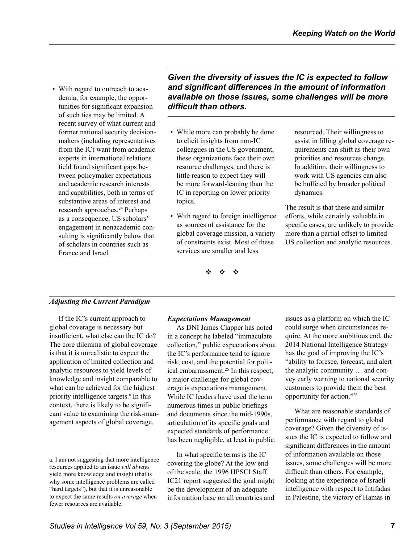• With regard to outreach to academia, for example, the opportunities for significant expansion of such ties may be limited. A recent survey of what current and former national security decisionmakers (including representatives from the IC) want from academic experts in international relations field found significant gaps between policymaker expectations and academic research interests and capabilities, both in terms of substantive areas of interest and research approaches.<sup>24</sup> Perhaps as a consequence, US scholars' engagement in nonacademic consulting is significantly below that of scholars in countries such as France and Israel.

*Given the diversity of issues the IC is expected to follow and significant differences in the amount of information available on those issues, some challenges will be more difficult than others.*

- While more can probably be done to elicit insights from non-IC colleagues in the US government, these organizations face their own resource challenges, and there is little reason to expect they will be more forward-leaning than the IC in reporting on lower priority topics.
- With regard to foreign intelligence as sources of assistance for the global coverage mission, a variety of constraints exist. Most of these services are smaller and less

resourced. Their willingness to assist in filling global coverage requirements can shift as their own priorities and resources change. In addition, their willingness to work with US agencies can also be buffeted by broader political dynamics.

The result is that these and similar efforts, while certainly valuable in specific cases, are unlikely to provide more than a partial offset to limited US collection and analytic resources.

v v v

### *Adjusting the Current Paradigm*

If the IC's current approach to global coverage is necessary but insufficient, what else can the IC do? The core dilemma of global coverage is that it is unrealistic to expect the application of limited collection and analytic resources to yield levels of knowledge and insight comparable to what can be achieved for the highest priority intelligence targets.<sup>a</sup> In this context, there is likely to be significant value to examining the risk-management aspects of global coverage.

### *Expectations Management*

As DNI James Clapper has noted in a concept he labeled "immaculate collection," public expectations about the IC's performance tend to ignore risk, cost, and the potential for political embarrassment.<sup>25</sup> In this respect, a major challenge for global coverage is expectations management. While IC leaders have used the term numerous times in public briefings and documents since the mid-1990s, articulation of its specific goals and expected standards of performance has been negligible, at least in public.

In what specific terms is the IC covering the globe? At the low end of the scale, the 1996 HPSCI Staff IC21 report suggested the goal might be the development of an adequate information base on all countries and

issues as a platform on which the IC could surge when circumstances require. At the more ambitious end, the 2014 National Intelligence Strategy has the goal of improving the IC's "ability to foresee, forecast, and alert the analytic community … and convey early warning to national security customers to provide them the best opportunity for action.["26](#page-9-25)

What are reasonable standards of performance with regard to global coverage? Given the diversity of issues the IC is expected to follow and significant differences in the amount of information available on those issues, some challenges will be more difficult than others. For example, looking at the experience of Israeli intelligence with respect to Intifadas in Palestine, the victory of Hamas in

a. I am not suggesting that more intelligence resources applied to an issue *will always*  yield more knowledge and insight (that is why some intelligence problems are called "hard targets"), but that it is unreasonable to expect the same results *on average* when fewer resources are available.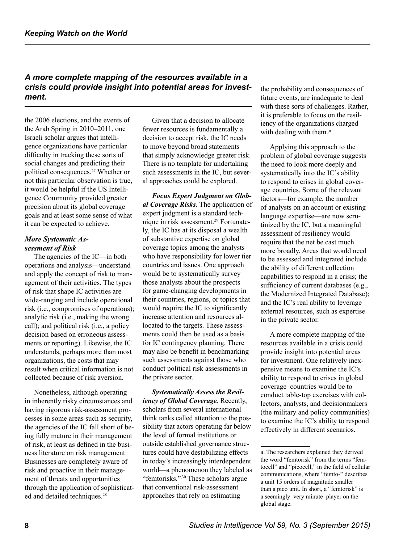# *A more complete mapping of the resources available in a crisis could provide insight into potential areas for investment.*

the 2006 elections, and the events of the Arab Spring in 2010–2011, one Israeli scholar argues that intelligence organizations have particular difficulty in tracking these sorts of social changes and predicting their political consequences.<sup>27</sup> Whether or not this particular observation is true, it would be helpful if the US Intelligence Community provided greater precision about its global coverage goals and at least some sense of what it can be expected to achieve.

### *More Systematic Assessment of Risk*

The agencies of the IC—in both operations and analysis—understand and apply the concept of risk to management of their activities. The types of risk that shape IC activities are wide-ranging and include operational risk (i.e., compromises of operations); analytic risk (i.e., making the wrong call); and political risk (i.e., a policy decision based on erroneous assessments or reporting). Likewise, the IC understands, perhaps more than most organizations, the costs that may result when critical information is not collected because of risk aversion.

Nonetheless, although operating in inherently risky circumstances and having rigorous risk-assessment processes in some areas such as security, the agencies of the IC fall short of being fully mature in their management of risk, at least as defined in the business literature on risk management: Businesses are completely aware of risk and proactive in their management of threats and opportunities through the application of sophisticated and detailed techniques.<sup>28</sup>

Given that a decision to allocate fewer resources is fundamentally a decision to accept risk, the IC needs to move beyond broad statements that simply acknowledge greater risk. There is no template for undertaking such assessments in the IC, but several approaches could be explored.

*Focus Expert Judgment on Global Coverage Risks.* The application of expert judgment is a standard technique in risk assessment.<sup>29</sup> Fortunately, the IC has at its disposal a wealth of substantive expertise on global coverage topics among the analysts who have responsibility for lower tier countries and issues. One approach would be to systematically survey those analysts about the prospects for game-changing developments in their countries, regions, or topics that would require the IC to significantly increase attention and resources allocated to the targets. These assessments could then be used as a basis for IC contingency planning. There may also be benefit in benchmarking such assessments against those who conduct political risk assessments in the private sector.

*Systematically Assess the Resiliency of Global Coverage.* Recently, scholars from several international think tanks called attention to the possibility that actors operating far below the level of formal institutions or outside established governance structures could have destabilizing effects in today's increasingly interdependent world—a phenomenon they labeled as "femtorisks.",<sup>[30](#page-9-29)</sup> These scholars argue that conventional risk-assessment approaches that rely on estimating

the probability and consequences of future events, are inadequate to deal with these sorts of challenges. Rather, it is preferable to focus on the resiliency of the organizations charged with dealing with them.<sup>,a</sup>

Applying this approach to the problem of global coverage suggests the need to look more deeply and systematically into the IC's ability to respond to crises in global coverage countries. Some of the relevant factors—for example, the number of analysts on an account or existing language expertise—are now scrutinized by the IC, but a meaningful assessment of resiliency would require that the net be cast much more broadly. Areas that would need to be assessed and integrated include the ability of different collection capabilities to respond in a crisis; the sufficiency of current databases (e.g., the Modernized Integrated Database); and the IC's real ability to leverage external resources, such as expertise in the private sector.

A more complete mapping of the resources available in a crisis could provide insight into potential areas for investment. One relatively inexpensive means to examine the IC's ability to respond to crises in global coverage countries would be to conduct table-top exercises with collectors, analysts, and decisionmakers (the military and policy communities) to examine the IC's ability to respond effectively in different scenarios.

a. The researchers explained they derived the word "femtorisk" from the terms "femtocell" and "picocell," in the field of cellular communications, where "femto-" describes a unit 15 orders of magnitude smaller than a pico unit. In short, a "femtorisk" is a seemingly very minute player on the global stage.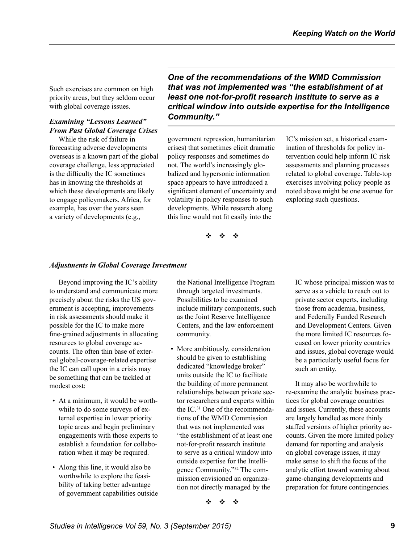Such exercises are common on high priority areas, but they seldom occur with global coverage issues.

# *Examining "Lessons Learned" From Past Global Coverage Crises*

While the risk of failure in forecasting adverse developments overseas is a known part of the global coverage challenge, less appreciated is the difficulty the IC sometimes has in knowing the thresholds at which these developments are likely to engage policymakers. Africa, for example, has over the years seen a variety of developments (e.g.,

*One of the recommendations of the WMD Commission that was not implemented was "the establishment of at least one not-for-profit research institute to serve as a critical window into outside expertise for the Intelligence Community."* 

government repression, humanitarian crises) that sometimes elicit dramatic policy responses and sometimes do not. The world's increasingly globalized and hypersonic information space appears to have introduced a significant element of uncertainty and volatility in policy responses to such developments. While research along this line would not fit easily into the

IC's mission set, a historical examination of thresholds for policy intervention could help inform IC risk assessments and planning processes related to global coverage. Table-top exercises involving policy people as noted above might be one avenue for exploring such questions.

v v v

### *Adjustments in Global Coverage Investment*

Beyond improving the IC's ability to understand and communicate more precisely about the risks the US government is accepting, improvements in risk assessments should make it possible for the IC to make more fine-grained adjustments in allocating resources to global coverage accounts. The often thin base of external global-coverage-related expertise the IC can call upon in a crisis may be something that can be tackled at modest cost:

- At a minimum, it would be worthwhile to do some surveys of external expertise in lower priority topic areas and begin preliminary engagements with those experts to establish a foundation for collaboration when it may be required.
- Along this line, it would also be worthwhile to explore the feasibility of taking better advantage of government capabilities outside

the National Intelligence Program through targeted investments. Possibilities to be examined include military components, such as the Joint Reserve Intelligence Centers, and the law enforcement community.

• More ambitiously, consideration should be given to establishing dedicated "knowledge broker" units outside the IC to facilitate the building of more permanent relationships between private sector researchers and experts within theIC. $31$  One of the recommendations of the WMD Commission that was not implemented was "the establishment of at least one not-for-profit research institute to serve as a critical window into outside expertise for the Intelligence Community."<sup>32</sup> The commission envisioned an organization not directly managed by the

IC whose principal mission was to serve as a vehicle to reach out to private sector experts, including those from academia, business, and Federally Funded Research and Development Centers. Given the more limited IC resources focused on lower priority countries and issues, global coverage would be a particularly useful focus for such an entity.

It may also be worthwhile to re-examine the analytic business practices for global coverage countries and issues. Currently, these accounts are largely handled as more thinly staffed versions of higher priority accounts. Given the more limited policy demand for reporting and analysis on global coverage issues, it may make sense to shift the focus of the analytic effort toward warning about game-changing developments and preparation for future contingencies.

 $\mathbf{v}$